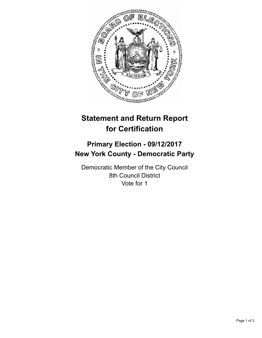

## **Statement and Return Report for Certification**

## **Primary Election - 09/12/2017 New York County - Democratic Party**

Democratic Member of the City Council 8th Council District Vote for 1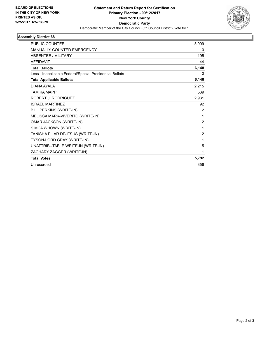

## **Assembly District 68**

| <b>PUBLIC COUNTER</b>                                    | 5,909          |
|----------------------------------------------------------|----------------|
| <b>MANUALLY COUNTED EMERGENCY</b>                        | 0              |
| <b>ABSENTEE / MILITARY</b>                               | 195            |
| <b>AFFIDAVIT</b>                                         | 44             |
| <b>Total Ballots</b>                                     | 6,148          |
| Less - Inapplicable Federal/Special Presidential Ballots | 0              |
| <b>Total Applicable Ballots</b>                          | 6,148          |
| DIANA AYAI A                                             | 2,215          |
| <b>TAMIKA MAPP</b>                                       | 539            |
| ROBERT J. RODRIGUEZ                                      | 2,931          |
| <b>ISRAEL MARTINEZ</b>                                   | 92             |
| BILL PERKINS (WRITE-IN)                                  | $\overline{2}$ |
| MELISSA MARK-VIVERITO (WRITE-IN)                         | 1              |
| OMAR JACKSON (WRITE-IN)                                  | $\overline{2}$ |
| SIMCA WHOWN (WRITE-IN)                                   | 1              |
| TANISHA PILAR DEJESUS (WRITE-IN)                         | $\overline{2}$ |
| TYSON-LORD GRAY (WRITE-IN)                               | 1              |
| UNATTRIBUTABLE WRITE-IN (WRITE-IN)                       | 5              |
| ZACHARY ZAGGER (WRITE-IN)                                | 1              |
| <b>Total Votes</b>                                       | 5,792          |
| Unrecorded                                               | 356            |